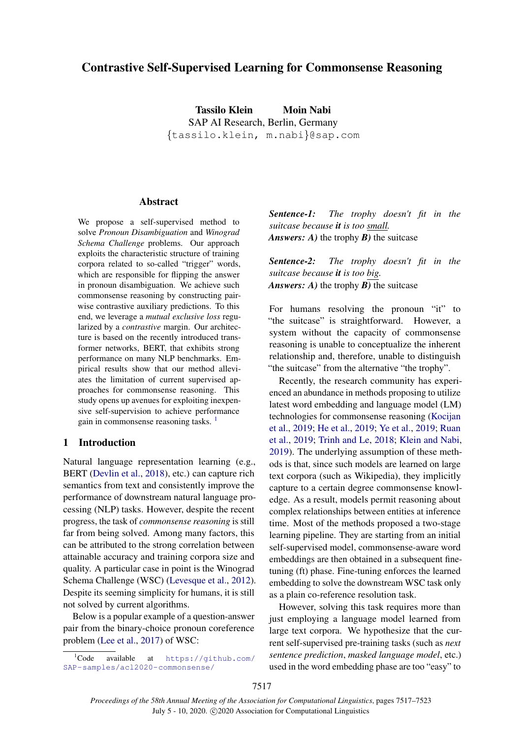# Contrastive Self-Supervised Learning for Commonsense Reasoning

Tassilo Klein Moin Nabi SAP AI Research, Berlin, Germany {tassilo.klein, m.nabi}@sap.com

# Abstract

We propose a self-supervised method to solve *Pronoun Disambiguation* and *Winograd Schema Challenge* problems. Our approach exploits the characteristic structure of training corpora related to so-called "trigger" words, which are responsible for flipping the answer in pronoun disambiguation. We achieve such commonsense reasoning by constructing pairwise contrastive auxiliary predictions. To this end, we leverage a *mutual exclusive loss* regularized by a *contrastive* margin. Our architecture is based on the recently introduced transformer networks, BERT, that exhibits strong performance on many NLP benchmarks. Empirical results show that our method alleviates the limitation of current supervised approaches for commonsense reasoning. This study opens up avenues for exploiting inexpensive self-supervision to achieve performance gain in commonsense reasoning tasks.<sup>[1](#page-0-0)</sup>

# 1 Introduction

Natural language representation learning (e.g., BERT [\(Devlin et al.,](#page-5-0) [2018\)](#page-5-0), etc.) can capture rich semantics from text and consistently improve the performance of downstream natural language processing (NLP) tasks. However, despite the recent progress, the task of *commonsense reasoning* is still far from being solved. Among many factors, this can be attributed to the strong correlation between attainable accuracy and training corpora size and quality. A particular case in point is the Winograd Schema Challenge (WSC) [\(Levesque et al.,](#page-5-1) [2012\)](#page-5-1). Despite its seeming simplicity for humans, it is still not solved by current algorithms.

Below is a popular example of a question-answer pair from the binary-choice pronoun coreference problem [\(Lee et al.,](#page-5-2) [2017\)](#page-5-2) of WSC:

*Sentence-1: The trophy doesn't fit in the suitcase because it is too small. Answers: A)* the trophy *B)* the suitcase

*Sentence-2: The trophy doesn't fit in the suitcase because it is too big. Answers: A)* the trophy *B)* the suitcase

For humans resolving the pronoun "it" to "the suitcase" is straightforward. However, a system without the capacity of commonsense reasoning is unable to conceptualize the inherent relationship and, therefore, unable to distinguish "the suitcase" from the alternative "the trophy".

Recently, the research community has experienced an abundance in methods proposing to utilize latest word embedding and language model (LM) technologies for commonsense reasoning [\(Kocijan](#page-5-3) [et al.,](#page-5-3) [2019;](#page-5-3) [He et al.,](#page-5-4) [2019;](#page-5-4) [Ye et al.,](#page-6-0) [2019;](#page-6-0) [Ruan](#page-5-5) [et al.,](#page-5-5) [2019;](#page-5-5) [Trinh and Le,](#page-6-1) [2018;](#page-6-1) [Klein and Nabi,](#page-5-6) [2019\)](#page-5-6). The underlying assumption of these methods is that, since such models are learned on large text corpora (such as Wikipedia), they implicitly capture to a certain degree commonsense knowledge. As a result, models permit reasoning about complex relationships between entities at inference time. Most of the methods proposed a two-stage learning pipeline. They are starting from an initial self-supervised model, commonsense-aware word embeddings are then obtained in a subsequent finetuning (ft) phase. Fine-tuning enforces the learned embedding to solve the downstream WSC task only as a plain co-reference resolution task.

However, solving this task requires more than just employing a language model learned from large text corpora. We hypothesize that the current self-supervised pre-training tasks (such as *next sentence prediction*, *masked language model*, etc.) used in the word embedding phase are too "easy" to

<span id="page-0-0"></span><sup>1</sup>Code available at [https://github.com/](https://github.com/SAP-samples/acl2020-commonsense/) [SAP-samples/acl2020-commonsense/](https://github.com/SAP-samples/acl2020-commonsense/)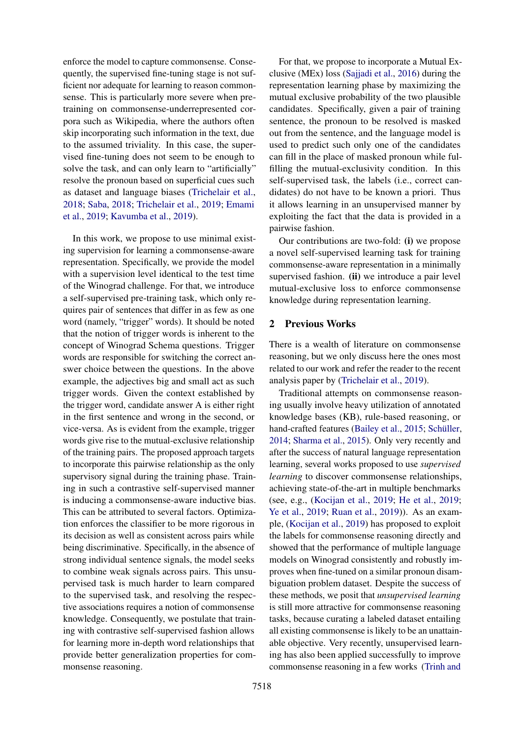enforce the model to capture commonsense. Consequently, the supervised fine-tuning stage is not sufficient nor adequate for learning to reason commonsense. This is particularly more severe when pretraining on commonsense-underrepresented corpora such as Wikipedia, where the authors often skip incorporating such information in the text, due to the assumed triviality. In this case, the supervised fine-tuning does not seem to be enough to solve the task, and can only learn to "artificially" resolve the pronoun based on superficial cues such as dataset and language biases [\(Trichelair et al.,](#page-6-2) [2018;](#page-6-2) [Saba,](#page-5-7) [2018;](#page-5-7) [Trichelair et al.,](#page-6-3) [2019;](#page-6-3) [Emami](#page-5-8) [et al.,](#page-5-8) [2019;](#page-5-8) [Kavumba et al.,](#page-5-9) [2019\)](#page-5-9).

In this work, we propose to use minimal existing supervision for learning a commonsense-aware representation. Specifically, we provide the model with a supervision level identical to the test time of the Winograd challenge. For that, we introduce a self-supervised pre-training task, which only requires pair of sentences that differ in as few as one word (namely, "trigger" words). It should be noted that the notion of trigger words is inherent to the concept of Winograd Schema questions. Trigger words are responsible for switching the correct answer choice between the questions. In the above example, the adjectives big and small act as such trigger words. Given the context established by the trigger word, candidate answer A is either right in the first sentence and wrong in the second, or vice-versa. As is evident from the example, trigger words give rise to the mutual-exclusive relationship of the training pairs. The proposed approach targets to incorporate this pairwise relationship as the only supervisory signal during the training phase. Training in such a contrastive self-supervised manner is inducing a commonsense-aware inductive bias. This can be attributed to several factors. Optimization enforces the classifier to be more rigorous in its decision as well as consistent across pairs while being discriminative. Specifically, in the absence of strong individual sentence signals, the model seeks to combine weak signals across pairs. This unsupervised task is much harder to learn compared to the supervised task, and resolving the respective associations requires a notion of commonsense knowledge. Consequently, we postulate that training with contrastive self-supervised fashion allows for learning more in-depth word relationships that provide better generalization properties for commonsense reasoning.

For that, we propose to incorporate a Mutual Exclusive (MEx) loss [\(Sajjadi et al.,](#page-5-10) [2016\)](#page-5-10) during the representation learning phase by maximizing the mutual exclusive probability of the two plausible candidates. Specifically, given a pair of training sentence, the pronoun to be resolved is masked out from the sentence, and the language model is used to predict such only one of the candidates can fill in the place of masked pronoun while fulfilling the mutual-exclusivity condition. In this self-supervised task, the labels (i.e., correct candidates) do not have to be known a priori. Thus it allows learning in an unsupervised manner by exploiting the fact that the data is provided in a pairwise fashion.

Our contributions are two-fold: (i) we propose a novel self-supervised learning task for training commonsense-aware representation in a minimally supervised fashion. (ii) we introduce a pair level mutual-exclusive loss to enforce commonsense knowledge during representation learning.

# 2 Previous Works

There is a wealth of literature on commonsense reasoning, but we only discuss here the ones most related to our work and refer the reader to the recent analysis paper by [\(Trichelair et al.,](#page-6-3) [2019\)](#page-6-3).

Traditional attempts on commonsense reasoning usually involve heavy utilization of annotated knowledge bases (KB), rule-based reasoning, or hand-crafted features [\(Bailey et al.,](#page-5-11) [2015;](#page-5-11) Schüller, [2014;](#page-5-12) [Sharma et al.,](#page-5-13) [2015\)](#page-5-13). Only very recently and after the success of natural language representation learning, several works proposed to use *supervised learning* to discover commonsense relationships, achieving state-of-the-art in multiple benchmarks (see, e.g., [\(Kocijan et al.,](#page-5-3) [2019;](#page-5-3) [He et al.,](#page-5-4) [2019;](#page-5-4) [Ye et al.,](#page-6-0) [2019;](#page-6-0) [Ruan et al.,](#page-5-5) [2019\)](#page-5-5)). As an example, [\(Kocijan et al.,](#page-5-3) [2019\)](#page-5-3) has proposed to exploit the labels for commonsense reasoning directly and showed that the performance of multiple language models on Winograd consistently and robustly improves when fine-tuned on a similar pronoun disambiguation problem dataset. Despite the success of these methods, we posit that *unsupervised learning* is still more attractive for commonsense reasoning tasks, because curating a labeled dataset entailing all existing commonsense is likely to be an unattainable objective. Very recently, unsupervised learning has also been applied successfully to improve commonsense reasoning in a few works [\(Trinh and](#page-6-1)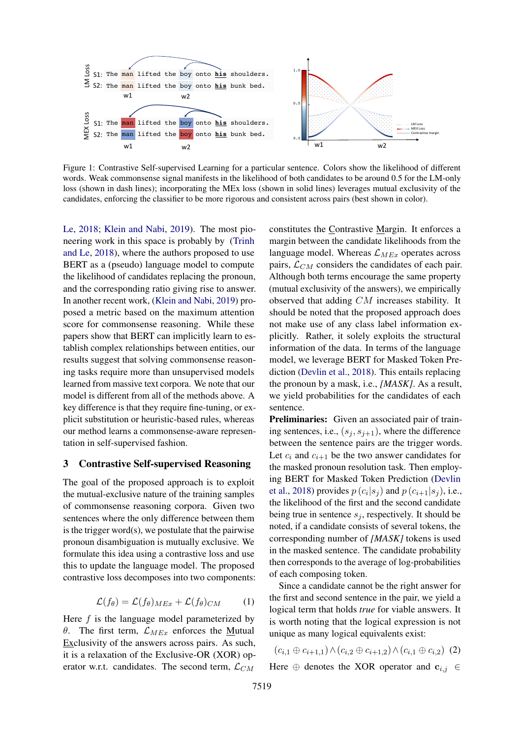<span id="page-2-1"></span>

Figure 1: Contrastive Self-supervised Learning for a particular sentence. Colors show the likelihood of different words. Weak commonsense signal manifests in the likelihood of both candidates to be around 0.5 for the LM-only loss (shown in dash lines); incorporating the MEx loss (shown in solid lines) leverages mutual exclusivity of the candidates, enforcing the classifier to be more rigorous and consistent across pairs (best shown in color).

[Le,](#page-6-1) [2018;](#page-6-1) [Klein and Nabi,](#page-5-6) [2019\)](#page-5-6). The most pioneering work in this space is probably by [\(Trinh](#page-6-1) [and Le,](#page-6-1) [2018\)](#page-6-1), where the authors proposed to use BERT as a (pseudo) language model to compute the likelihood of candidates replacing the pronoun, and the corresponding ratio giving rise to answer. In another recent work, [\(Klein and Nabi,](#page-5-6) [2019\)](#page-5-6) proposed a metric based on the maximum attention score for commonsense reasoning. While these papers show that BERT can implicitly learn to establish complex relationships between entities, our results suggest that solving commonsense reasoning tasks require more than unsupervised models learned from massive text corpora. We note that our model is different from all of the methods above. A key difference is that they require fine-tuning, or explicit substitution or heuristic-based rules, whereas our method learns a commonsense-aware representation in self-supervised fashion.

### 3 Contrastive Self-supervised Reasoning

The goal of the proposed approach is to exploit the mutual-exclusive nature of the training samples of commonsense reasoning corpora. Given two sentences where the only difference between them is the trigger word(s), we postulate that the pairwise pronoun disambiguation is mutually exclusive. We formulate this idea using a contrastive loss and use this to update the language model. The proposed contrastive loss decomposes into two components:

$$
\mathcal{L}(f_{\theta}) = \mathcal{L}(f_{\theta})_{MEx} + \mathcal{L}(f_{\theta})_{CM}
$$
 (1)

Here  $f$  is the language model parameterized by θ. The first term,  $\mathcal{L}_{MEx}$  enforces the Mutual Exclusivity of the answers across pairs. As such, it is a relaxation of the Exclusive-OR (XOR) operator w.r.t. candidates. The second term,  $\mathcal{L}_{CM}$ 

constitutes the Contrastive Margin. It enforces a margin between the candidate likelihoods from the language model. Whereas  $\mathcal{L}_{MEx}$  operates across pairs,  $\mathcal{L}_{CM}$  considers the candidates of each pair. Although both terms encourage the same property (mutual exclusivity of the answers), we empirically observed that adding CM increases stability. It should be noted that the proposed approach does not make use of any class label information explicitly. Rather, it solely exploits the structural information of the data. In terms of the language model, we leverage BERT for Masked Token Prediction [\(Devlin et al.,](#page-5-0) [2018\)](#page-5-0). This entails replacing the pronoun by a mask, i.e., *[MASK]*. As a result, we yield probabilities for the candidates of each sentence.

Preliminaries: Given an associated pair of training sentences, i.e.,  $(s_i, s_{i+1})$ , where the difference between the sentence pairs are the trigger words. Let  $c_i$  and  $c_{i+1}$  be the two answer candidates for the masked pronoun resolution task. Then employing BERT for Masked Token Prediction [\(Devlin](#page-5-0) [et al.,](#page-5-0) [2018\)](#page-5-0) provides  $p(c_i|s_j)$  and  $p(c_{i+1}|s_j)$ , i.e., the likelihood of the first and the second candidate being true in sentence  $s_j$ , respectively. It should be noted, if a candidate consists of several tokens, the corresponding number of *[MASK]* tokens is used in the masked sentence. The candidate probability then corresponds to the average of log-probabilities of each composing token.

Since a candidate cannot be the right answer for the first and second sentence in the pair, we yield a logical term that holds *true* for viable answers. It is worth noting that the logical expression is not unique as many logical equivalents exist:

<span id="page-2-0"></span>
$$
(c_{i,1} \oplus c_{i+1,1}) \wedge (c_{i,2} \oplus c_{i+1,2}) \wedge (c_{i,1} \oplus c_{i,2}) \tag{2}
$$

Here  $\oplus$  denotes the XOR operator and  $c_{i,j} \in$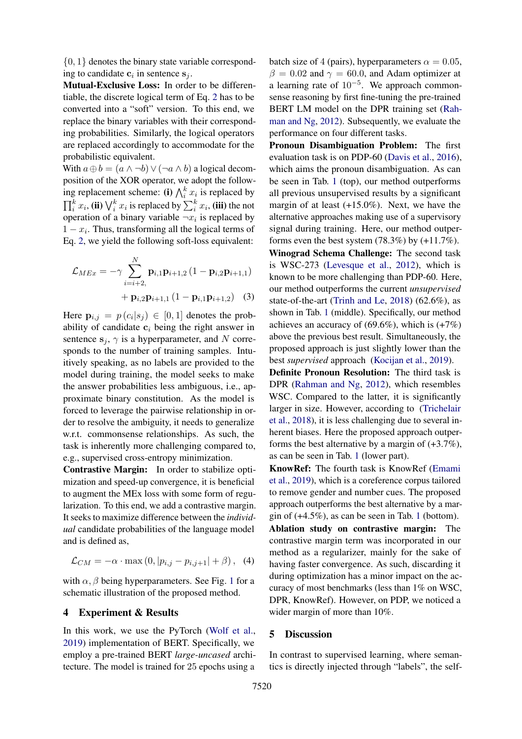$\{0, 1\}$  denotes the binary state variable corresponding to candidate  $c_i$  in sentence  $s_j$ .

Mutual-Exclusive Loss: In order to be differentiable, the discrete logical term of Eq. [2](#page-2-0) has to be converted into a "soft" version. To this end, we replace the binary variables with their corresponding probabilities. Similarly, the logical operators are replaced accordingly to accommodate for the probabilistic equivalent.

With  $a \oplus b = (a \land \neg b) \lor (\neg a \land b)$  a logical decomposition of the XOR operator, we adopt the following replacement scheme: (i)  $\bigwedge_i^k x_i$  is replaced by  $\prod_i^k x_i$ , (ii)  $\bigvee_i^k x_i$  is replaced by  $\sum_i^k x_i$ , (iii) the not operation of a binary variable  $\neg x_i$  is replaced by  $1 - x_i$ . Thus, transforming all the logical terms of Eq. [2,](#page-2-0) we yield the following soft-loss equivalent:

$$
\mathcal{L}_{MEx} = -\gamma \sum_{i=i+2,}^{N} \mathbf{p}_{i,1} \mathbf{p}_{i+1,2} (1 - \mathbf{p}_{i,2} \mathbf{p}_{i+1,1}) + \mathbf{p}_{i,2} \mathbf{p}_{i+1,1} (1 - \mathbf{p}_{i,1} \mathbf{p}_{i+1,2})
$$
(3)

Here  $\mathbf{p}_{i,j} = p(c_i|s_j) \in [0,1]$  denotes the probability of candidate  $c_i$  being the right answer in sentence  $s_j$ ,  $\gamma$  is a hyperparameter, and N corresponds to the number of training samples. Intuitively speaking, as no labels are provided to the model during training, the model seeks to make the answer probabilities less ambiguous, i.e., approximate binary constitution. As the model is forced to leverage the pairwise relationship in order to resolve the ambiguity, it needs to generalize w.r.t. commonsense relationships. As such, the task is inherently more challenging compared to, e.g., supervised cross-entropy minimization.

Contrastive Margin: In order to stabilize optimization and speed-up convergence, it is beneficial to augment the MEx loss with some form of regularization. To this end, we add a contrastive margin. It seeks to maximize difference between the *individual* candidate probabilities of the language model and is defined as,

$$
\mathcal{L}_{CM} = -\alpha \cdot \max(0, |p_{i,j} - p_{i,j+1}| + \beta),
$$
 (4)

with  $\alpha$ ,  $\beta$  being hyperparameters. See Fig. [1](#page-2-1) for a schematic illustration of the proposed method.

### 4 Experiment & Results

In this work, we use the PyTorch [\(Wolf et al.,](#page-6-4) [2019\)](#page-6-4) implementation of BERT. Specifically, we employ a pre-trained BERT *large-uncased* architecture. The model is trained for 25 epochs using a

batch size of 4 (pairs), hyperparameters  $\alpha = 0.05$ ,  $\beta = 0.02$  and  $\gamma = 60.0$ , and Adam optimizer at a learning rate of  $10^{-5}$ . We approach commonsense reasoning by first fine-tuning the pre-trained BERT LM model on the DPR training set [\(Rah](#page-5-14)[man and Ng,](#page-5-14) [2012\)](#page-5-14). Subsequently, we evaluate the performance on four different tasks.

Pronoun Disambiguation Problem: The first evaluation task is on PDP-60 [\(Davis et al.,](#page-5-15) [2016\)](#page-5-15), which aims the pronoun disambiguation. As can be seen in Tab. [1](#page-4-0) (top), our method outperforms all previous unsupervised results by a significant margin of at least (+15.0%). Next, we have the alternative approaches making use of a supervisory signal during training. Here, our method outperforms even the best system  $(78.3%)$  by  $(+11.7%).$ 

Winograd Schema Challenge: The second task is WSC-273 [\(Levesque et al.,](#page-5-1) [2012\)](#page-5-1), which is known to be more challenging than PDP-60. Here, our method outperforms the current *unsupervised* state-of-the-art [\(Trinh and Le,](#page-6-1) [2018\)](#page-6-1) (62.6%), as shown in Tab. [1](#page-4-0) (middle). Specifically, our method achieves an accuracy of  $(69.6\%)$ , which is  $(+7\%)$ above the previous best result. Simultaneously, the proposed approach is just slightly lower than the best *supervised* approach [\(Kocijan et al.,](#page-5-3) [2019\)](#page-5-3).

Definite Pronoun Resolution: The third task is DPR [\(Rahman and Ng,](#page-5-14) [2012\)](#page-5-14), which resembles WSC. Compared to the latter, it is significantly larger in size. However, according to [\(Trichelair](#page-6-2) [et al.,](#page-6-2) [2018\)](#page-6-2), it is less challenging due to several inherent biases. Here the proposed approach outperforms the best alternative by a margin of  $(+3.7\%)$ , as can be seen in Tab. [1](#page-4-0) (lower part).

KnowRef: The fourth task is KnowRef [\(Emami](#page-5-8) [et al.,](#page-5-8) [2019\)](#page-5-8), which is a coreference corpus tailored to remove gender and number cues. The proposed approach outperforms the best alternative by a margin of  $(+4.5\%)$ , as can be seen in Tab. [1](#page-4-0) (bottom). Ablation study on contrastive margin: The contrastive margin term was incorporated in our method as a regularizer, mainly for the sake of having faster convergence. As such, discarding it during optimization has a minor impact on the accuracy of most benchmarks (less than 1% on WSC, DPR, KnowRef). However, on PDP, we noticed a wider margin of more than 10%.

#### 5 Discussion

In contrast to supervised learning, where semantics is directly injected through "labels", the self-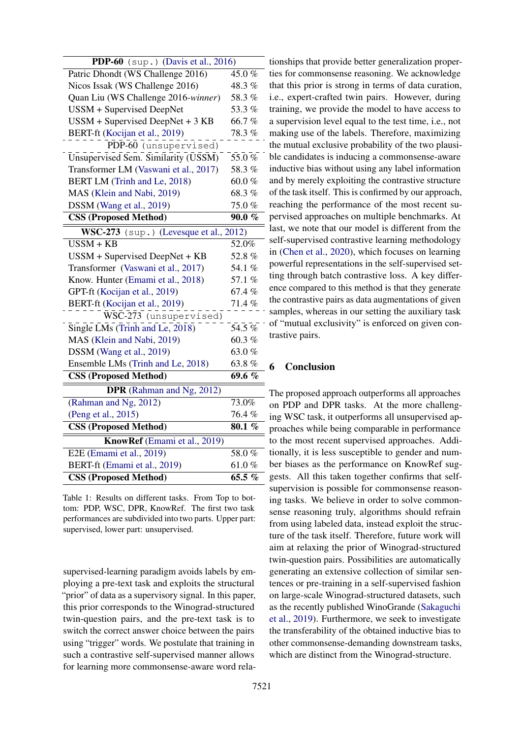<span id="page-4-0"></span>

| PDP-60 (sup.) (Davis et al., 2016)          |           |
|---------------------------------------------|-----------|
| Patric Dhondt (WS Challenge 2016)           | 45.0%     |
| Nicos Issak (WS Challenge 2016)             | 48.3 %    |
| Quan Liu (WS Challenge 2016-winner)         | 58.3%     |
| <b>USSM + Supervised DeepNet</b>            | 53.3%     |
| USSM + Supervised DeepNet + 3 KB            | 66.7%     |
| BERT-ft (Kocijan et al., 2019)              | $78.3~\%$ |
| PDP-60 (unsupervised)                       |           |
| Unsupervised Sem. Similarity (USSM)         | 55.0%     |
| Transformer LM (Vaswani et al., 2017)       | 58.3%     |
| BERT LM (Trinh and Le, 2018)                | 60.0%     |
| MAS (Klein and Nabi, 2019)                  | 68.3%     |
| DSSM (Wang et al., 2019)                    | 75.0%     |
| <b>CSS (Proposed Method)</b>                | $90.0 \%$ |
| $WSC-273$ (sup.) (Levesque et al., 2012)    |           |
| $USSM + KB$                                 | 52.0%     |
| USSM + Supervised DeepNet + KB              | 52.8%     |
| Transformer (Vaswani et al., 2017)          | 54.1 %    |
| Know. Hunter (Emami et al., 2018)           | 57.1 %    |
| GPT-ft (Kocijan et al., 2019)               | 67.4%     |
| BERT-ft (Kocijan et al., 2019)              | 71.4%     |
| $\overline{\text{WSC}}$ -273 (unsupervised) |           |
| Single LMs (Trinh and Le, 2018)             | $54.5\%$  |
| MAS (Klein and Nabi, 2019)                  | 60.3%     |
| DSSM (Wang et al., 2019)                    | 63.0%     |
| Ensemble LMs (Trinh and Le, 2018)           | 63.8%     |
| <b>CSS (Proposed Method)</b>                | 69.6 %    |
| <b>DPR</b> (Rahman and Ng, 2012)            |           |
| (Rahman and Ng, 2012)                       | 73.0%     |
| (Peng et al., 2015)                         | 76.4%     |
| <b>CSS (Proposed Method)</b>                | 80.1 %    |
| KnowRef (Emami et al., 2019)                |           |
| E2E (Emami et al., 2019)                    | 58.0%     |
| BERT-ft (Emami et al., 2019)                | 61.0%     |
| <b>CSS (Proposed Method)</b>                | 65.5 %    |

Table 1: Results on different tasks. From Top to bottom: PDP, WSC, DPR, KnowRef. The first two task performances are subdivided into two parts. Upper part: supervised, lower part: unsupervised.

supervised-learning paradigm avoids labels by employing a pre-text task and exploits the structural "prior" of data as a supervisory signal. In this paper, this prior corresponds to the Winograd-structured twin-question pairs, and the pre-text task is to switch the correct answer choice between the pairs using "trigger" words. We postulate that training in such a contrastive self-supervised manner allows for learning more commonsense-aware word rela-

tionships that provide better generalization properties for commonsense reasoning. We acknowledge that this prior is strong in terms of data curation, i.e., expert-crafted twin pairs. However, during training, we provide the model to have access to a supervision level equal to the test time, i.e., not making use of the labels. Therefore, maximizing the mutual exclusive probability of the two plausible candidates is inducing a commonsense-aware inductive bias without using any label information and by merely exploiting the contrastive structure of the task itself. This is confirmed by our approach, reaching the performance of the most recent supervised approaches on multiple benchmarks. At last, we note that our model is different from the - self-supervised contrastive learning methodology in [\(Chen et al.,](#page-5-18) [2020\)](#page-5-18), which focuses on learning powerful representations in the self-supervised setting through batch contrastive loss. A key difference compared to this method is that they generate the contrastive pairs as data augmentations of given samples, whereas in our setting the auxiliary task of "mutual exclusivity" is enforced on given contrastive pairs.

### 6 Conclusion

The proposed approach outperforms all approaches on PDP and DPR tasks. At the more challenging WSC task, it outperforms all unsupervised approaches while being comparable in performance to the most recent supervised approaches. Additionally, it is less susceptible to gender and number biases as the performance on KnowRef suggests. All this taken together confirms that selfsupervision is possible for commonsense reasoning tasks. We believe in order to solve commonsense reasoning truly, algorithms should refrain from using labeled data, instead exploit the structure of the task itself. Therefore, future work will aim at relaxing the prior of Winograd-structured twin-question pairs. Possibilities are automatically generating an extensive collection of similar sentences or pre-training in a self-supervised fashion on large-scale Winograd-structured datasets, such as the recently published WinoGrande [\(Sakaguchi](#page-5-19) [et al.,](#page-5-19) [2019\)](#page-5-19). Furthermore, we seek to investigate the transferability of the obtained inductive bias to other commonsense-demanding downstream tasks, which are distinct from the Winograd-structure.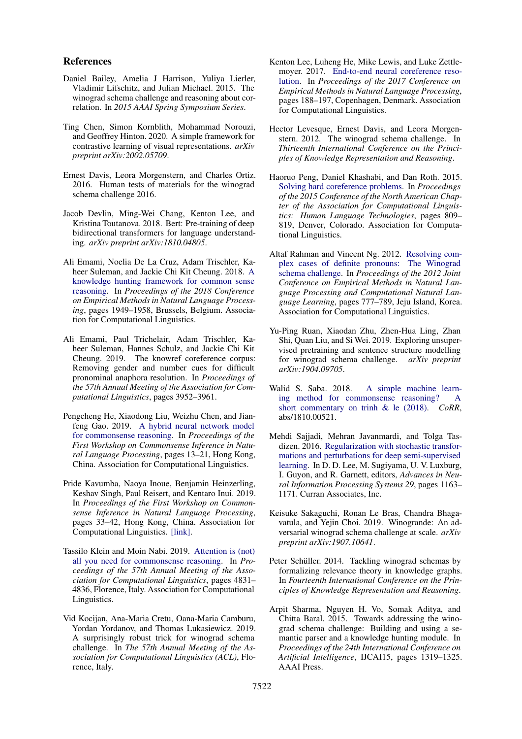#### References

- <span id="page-5-11"></span>Daniel Bailey, Amelia J Harrison, Yuliya Lierler, Vladimir Lifschitz, and Julian Michael. 2015. The winograd schema challenge and reasoning about correlation. In *2015 AAAI Spring Symposium Series*.
- <span id="page-5-18"></span>Ting Chen, Simon Kornblith, Mohammad Norouzi, and Geoffrey Hinton. 2020. A simple framework for contrastive learning of visual representations. *arXiv preprint arXiv:2002.05709*.
- <span id="page-5-15"></span>Ernest Davis, Leora Morgenstern, and Charles Ortiz. 2016. Human tests of materials for the winograd schema challenge 2016.
- <span id="page-5-0"></span>Jacob Devlin, Ming-Wei Chang, Kenton Lee, and Kristina Toutanova. 2018. Bert: Pre-training of deep bidirectional transformers for language understanding. *arXiv preprint arXiv:1810.04805*.
- <span id="page-5-16"></span>Ali Emami, Noelia De La Cruz, Adam Trischler, Kaheer Suleman, and Jackie Chi Kit Cheung. 2018. [A](https://www.aclweb.org/anthology/D18-1220) [knowledge hunting framework for common sense](https://www.aclweb.org/anthology/D18-1220) [reasoning.](https://www.aclweb.org/anthology/D18-1220) In *Proceedings of the 2018 Conference on Empirical Methods in Natural Language Processing*, pages 1949–1958, Brussels, Belgium. Association for Computational Linguistics.
- <span id="page-5-8"></span>Ali Emami, Paul Trichelair, Adam Trischler, Kaheer Suleman, Hannes Schulz, and Jackie Chi Kit Cheung. 2019. The knowref coreference corpus: Removing gender and number cues for difficult pronominal anaphora resolution. In *Proceedings of the 57th Annual Meeting of the Association for Computational Linguistics*, pages 3952–3961.
- <span id="page-5-4"></span>Pengcheng He, Xiaodong Liu, Weizhu Chen, and Jianfeng Gao. 2019. [A hybrid neural network model](https://doi.org/10.18653/v1/D19-6002) [for commonsense reasoning.](https://doi.org/10.18653/v1/D19-6002) In *Proceedings of the First Workshop on Commonsense Inference in Natural Language Processing*, pages 13–21, Hong Kong, China. Association for Computational Linguistics.
- <span id="page-5-9"></span>Pride Kavumba, Naoya Inoue, Benjamin Heinzerling, Keshav Singh, Paul Reisert, and Kentaro Inui. 2019. In *Proceedings of the First Workshop on Commonsense Inference in Natural Language Processing*, pages 33–42, Hong Kong, China. Association for Computational Linguistics. [\[link\].](https://doi.org/10.18653/v1/D19-6004)
- <span id="page-5-6"></span>Tassilo Klein and Moin Nabi. 2019. [Attention is \(not\)](https://doi.org/10.18653/v1/P19-1477) [all you need for commonsense reasoning.](https://doi.org/10.18653/v1/P19-1477) In *Proceedings of the 57th Annual Meeting of the Association for Computational Linguistics*, pages 4831– 4836, Florence, Italy. Association for Computational Linguistics.
- <span id="page-5-3"></span>Vid Kocijan, Ana-Maria Cretu, Oana-Maria Camburu, Yordan Yordanov, and Thomas Lukasiewicz. 2019. A surprisingly robust trick for winograd schema challenge. In *The 57th Annual Meeting of the Association for Computational Linguistics (ACL)*, Florence, Italy.
- <span id="page-5-2"></span>Kenton Lee, Luheng He, Mike Lewis, and Luke Zettlemoyer. 2017. [End-to-end neural coreference reso](https://doi.org/10.18653/v1/D17-1018)[lution.](https://doi.org/10.18653/v1/D17-1018) In *Proceedings of the 2017 Conference on Empirical Methods in Natural Language Processing*, pages 188–197, Copenhagen, Denmark. Association for Computational Linguistics.
- <span id="page-5-1"></span>Hector Levesque, Ernest Davis, and Leora Morgenstern. 2012. The winograd schema challenge. In *Thirteenth International Conference on the Principles of Knowledge Representation and Reasoning*.
- <span id="page-5-17"></span>Haoruo Peng, Daniel Khashabi, and Dan Roth. 2015. [Solving hard coreference problems.](https://doi.org/10.3115/v1/N15-1082) In *Proceedings of the 2015 Conference of the North American Chapter of the Association for Computational Linguistics: Human Language Technologies*, pages 809– 819, Denver, Colorado. Association for Computational Linguistics.
- <span id="page-5-14"></span>Altaf Rahman and Vincent Ng. 2012. [Resolving com](https://www.aclweb.org/anthology/D12-1071)[plex cases of definite pronouns: The Winograd](https://www.aclweb.org/anthology/D12-1071) [schema challenge.](https://www.aclweb.org/anthology/D12-1071) In *Proceedings of the 2012 Joint Conference on Empirical Methods in Natural Language Processing and Computational Natural Language Learning*, pages 777–789, Jeju Island, Korea. Association for Computational Linguistics.
- <span id="page-5-5"></span>Yu-Ping Ruan, Xiaodan Zhu, Zhen-Hua Ling, Zhan Shi, Quan Liu, and Si Wei. 2019. Exploring unsupervised pretraining and sentence structure modelling for winograd schema challenge. *arXiv preprint arXiv:1904.09705*.
- <span id="page-5-7"></span>Walid S. Saba. 2018. [A simple machine learn](http://arxiv.org/abs/1810.00521)[ing method for commonsense reasoning? A](http://arxiv.org/abs/1810.00521) [short commentary on trinh & le \(2018\).](http://arxiv.org/abs/1810.00521) *CoRR*, abs/1810.00521.
- <span id="page-5-10"></span>Mehdi Sajjadi, Mehran Javanmardi, and Tolga Tasdizen. 2016. [Regularization with stochastic transfor](http://papers.nips.cc/paper/6333-regularization-with-stochastic-transformations-and-perturbations-for-deep-semi-supervised-learning.pdf)[mations and perturbations for deep semi-supervised](http://papers.nips.cc/paper/6333-regularization-with-stochastic-transformations-and-perturbations-for-deep-semi-supervised-learning.pdf) [learning.](http://papers.nips.cc/paper/6333-regularization-with-stochastic-transformations-and-perturbations-for-deep-semi-supervised-learning.pdf) In D. D. Lee, M. Sugiyama, U. V. Luxburg, I. Guyon, and R. Garnett, editors, *Advances in Neural Information Processing Systems 29*, pages 1163– 1171. Curran Associates, Inc.
- <span id="page-5-19"></span>Keisuke Sakaguchi, Ronan Le Bras, Chandra Bhagavatula, and Yejin Choi. 2019. Winogrande: An adversarial winograd schema challenge at scale. *arXiv preprint arXiv:1907.10641*.
- <span id="page-5-12"></span>Peter Schüller. 2014. Tackling winograd schemas by formalizing relevance theory in knowledge graphs. In *Fourteenth International Conference on the Principles of Knowledge Representation and Reasoning*.
- <span id="page-5-13"></span>Arpit Sharma, Nguyen H. Vo, Somak Aditya, and Chitta Baral. 2015. Towards addressing the winograd schema challenge: Building and using a semantic parser and a knowledge hunting module. In *Proceedings of the 24th International Conference on Artificial Intelligence*, IJCAI15, pages 1319–1325. AAAI Press.